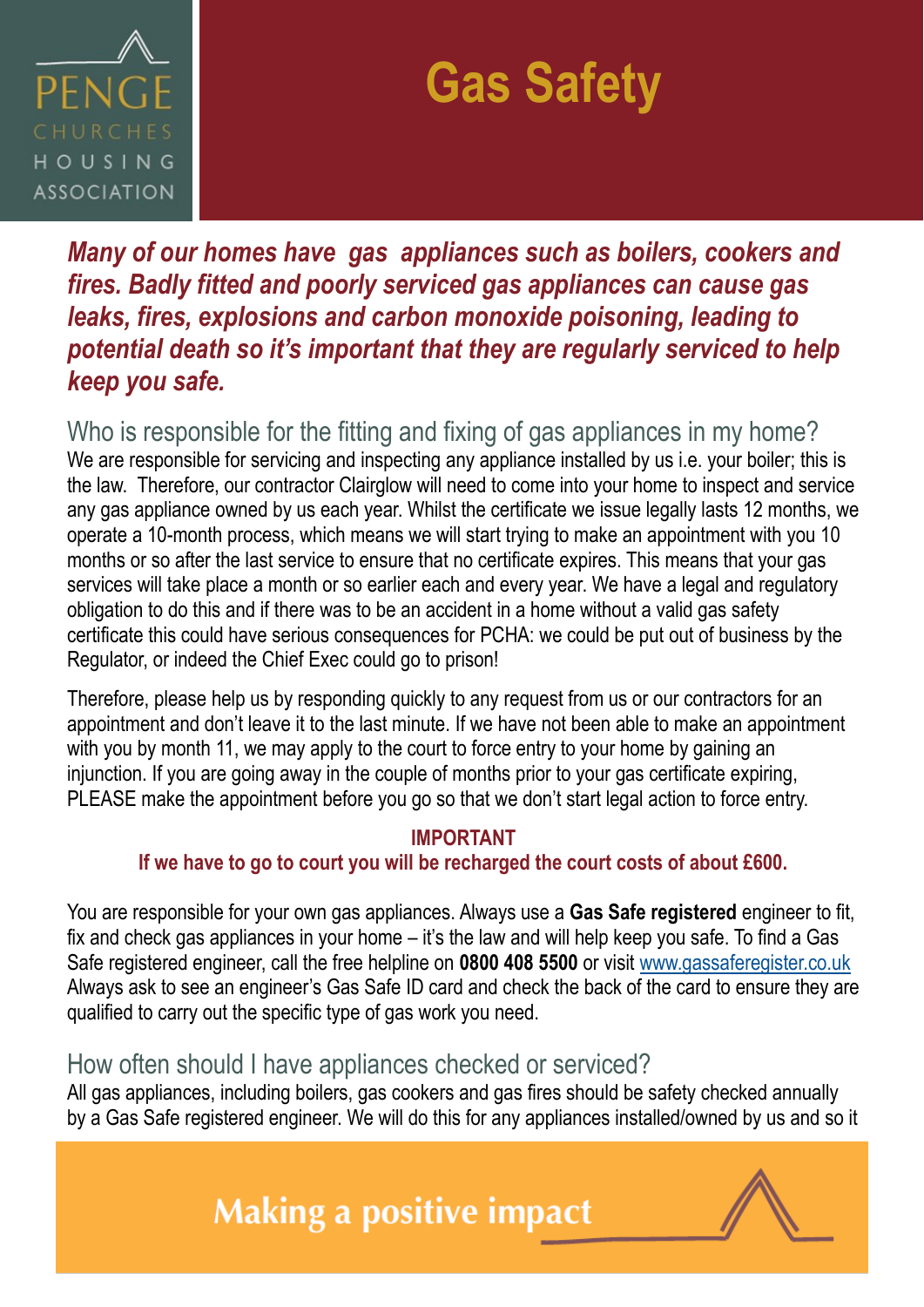

# **Gas Safety**

*Many of our homes have gas appliances such as boilers, cookers and fires. Badly fitted and poorly serviced gas appliances can cause gas leaks, fires, explosions and carbon monoxide poisoning, leading to potential death so it's important that they are regularly serviced to help keep you safe.* 

Who is responsible for the fitting and fixing of gas appliances in my home? We are responsible for servicing and inspecting any appliance installed by us i.e. your boiler; this is the law. Therefore, our contractor Clairglow will need to come into your home to inspect and service any gas appliance owned by us each year. Whilst the certificate we issue legally lasts 12 months, we operate a 10-month process, which means we will start trying to make an appointment with you 10 months or so after the last service to ensure that no certificate expires. This means that your gas services will take place a month or so earlier each and every year. We have a legal and regulatory obligation to do this and if there was to be an accident in a home without a valid gas safety certificate this could have serious consequences for PCHA: we could be put out of business by the Regulator, or indeed the Chief Exec could go to prison!

Therefore, please help us by responding quickly to any request from us or our contractors for an appointment and don't leave it to the last minute. If we have not been able to make an appointment with you by month 11, we may apply to the court to force entry to your home by gaining an injunction. If you are going away in the couple of months prior to your gas certificate expiring, PLEASE make the appointment before you go so that we don't start legal action to force entry.

#### **IMPORTANT**

#### **If we have to go to court you will be recharged the court costs of about £600.**

You are responsible for your own gas appliances. Always use a **Gas Safe registered** engineer to fit, fix and check gas appliances in your home – it's the law and will help keep you safe. To find a Gas Safe registered engineer, call the free helpline on **0800 408 5500** or visit [www.gassaferegister.co.uk](http://www.gassaferegister.co.uk) Always ask to see an engineer's Gas Safe ID card and check the back of the card to ensure they are qualified to carry out the specific type of gas work you need.

#### How often should I have appliances checked or serviced?

All gas appliances, including boilers, gas cookers and gas fires should be safety checked annually by a Gas Safe registered engineer. We will do this for any appliances installed/owned by us and so it

# **Making a positive impact**